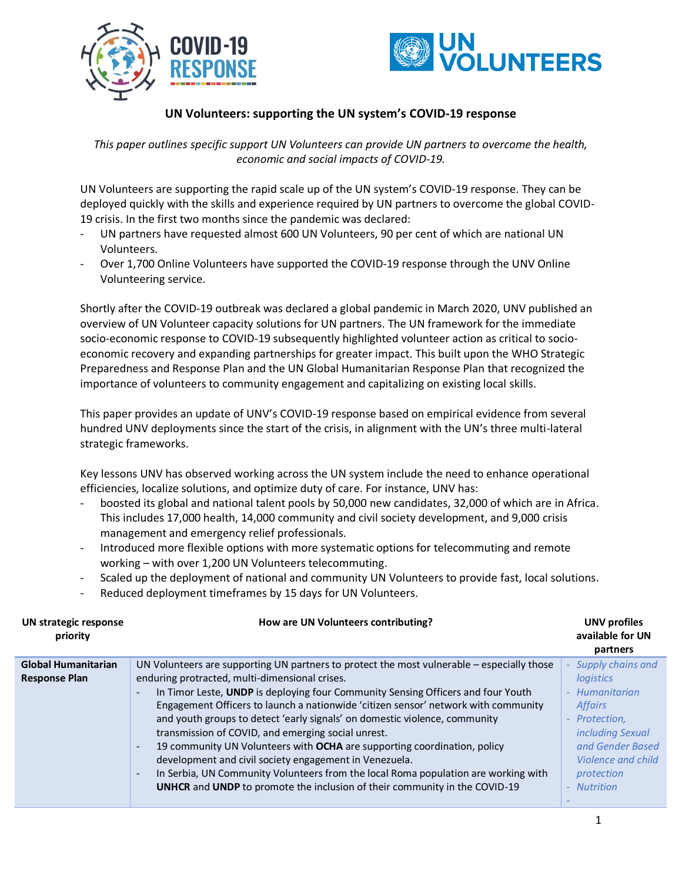



## **UN Volunteers: supporting the UN system's COVID-19 response**

*This paper outlines specific support UN Volunteers can provide UN partners to overcome the health, economic and social impacts of COVID-19.*

UN Volunteers are supporting the rapid scale up of the UN system's COVID-19 response. They can be deployed quickly with the skills and experience required by UN partners to overcome the global COVID-19 crisis. In the first two months since the pandemic was declared:

- UN partners have requested almost 600 UN Volunteers, 90 per cent of which are national UN Volunteers.
- Over 1,700 Online Volunteers have supported the COVID-19 response through the UNV Online Volunteering service.

Shortly after the COVID-19 outbreak was declared a global pandemic in March 2020, UNV published an overview of UN Volunteer capacity solutions for UN partners. The UN framework for the immediate socio-economic response to COVID-19 subsequently highlighted volunteer action as critical to socioeconomic recovery and expanding partnerships for greater impact. This built upon the WHO Strategic Preparedness and Response Plan and the UN Global Humanitarian Response Plan that recognized the importance of volunteers to community engagement and capitalizing on existing local skills.

This paper provides an update of UNV's COVID-19 response based on empirical evidence from several hundred UNV deployments since the start of the crisis, in alignment with the UN's three multi-lateral strategic frameworks.

Key lessons UNV has observed working across the UN system include the need to enhance operational efficiencies, localize solutions, and optimize duty of care. For instance, UNV has:

- boosted its global and national talent pools by 50,000 new candidates, 32,000 of which are in Africa. This includes 17,000 health, 14,000 community and civil society development, and 9,000 crisis management and emergency relief professionals.
- Introduced more flexible options with more systematic options for telecommuting and remote working – with over 1,200 UN Volunteers telecommuting.
- Scaled up the deployment of national and community UN Volunteers to provide fast, local solutions.
- Reduced deployment timeframes by 15 days for UN Volunteers.

| UN strategic response<br>priority | How are UN Volunteers contributing?                                                                            | <b>UNV</b> profiles<br>available for UN<br>partners |
|-----------------------------------|----------------------------------------------------------------------------------------------------------------|-----------------------------------------------------|
| <b>Global Humanitarian</b>        | UN Volunteers are supporting UN partners to protect the most vulnerable – especially those                     | Supply chains and                                   |
| <b>Response Plan</b>              | enduring protracted, multi-dimensional crises.                                                                 | logistics                                           |
|                                   | In Timor Leste, UNDP is deploying four Community Sensing Officers and four Youth                               | - Humanitarian                                      |
|                                   | Engagement Officers to launch a nationwide 'citizen sensor' network with community                             | <b>Affairs</b>                                      |
|                                   | and youth groups to detect 'early signals' on domestic violence, community                                     | - Protection,                                       |
|                                   | transmission of COVID, and emerging social unrest.                                                             | including Sexual                                    |
|                                   | 19 community UN Volunteers with OCHA are supporting coordination, policy                                       | and Gender Based                                    |
|                                   | development and civil society engagement in Venezuela.                                                         | Violence and child                                  |
|                                   | In Serbia, UN Community Volunteers from the local Roma population are working with<br>$\overline{\phantom{a}}$ | protection                                          |
|                                   | <b>UNHCR</b> and <b>UNDP</b> to promote the inclusion of their community in the COVID-19                       | <b>Nutrition</b>                                    |
|                                   |                                                                                                                |                                                     |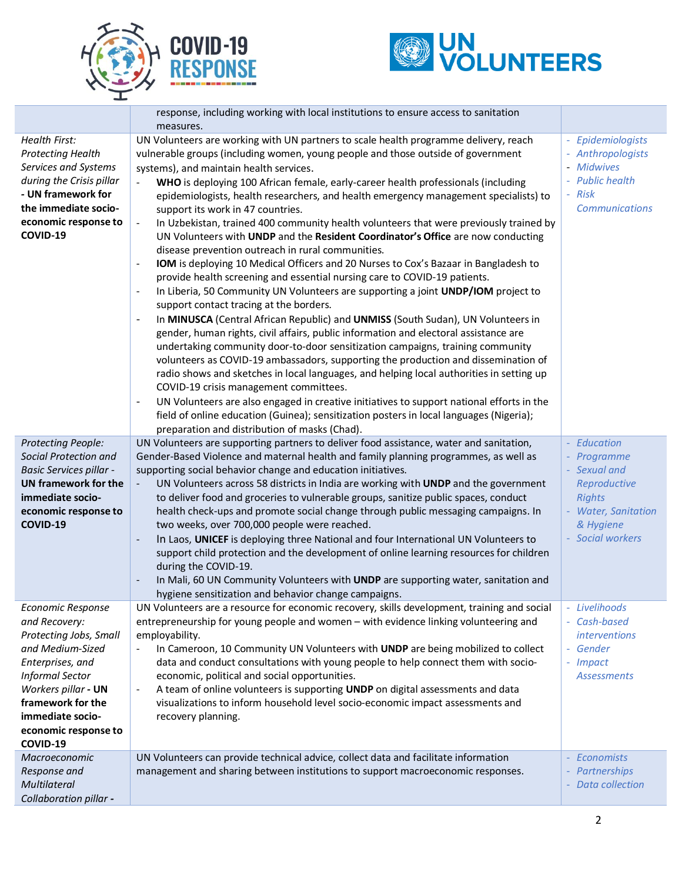



|                                                                                                                                                                                                                                           | response, including working with local institutions to ensure access to sanitation<br>measures.                                                                                                                                                                                                                                                                                                                                                                                                                                                                                                                                                                                                                                                                                                                                                                                                                                                                                                                                                                                                                                                                                                                                                                                                                                                                                                                                                                                                                                                                                                                                                                                                                                                                                                             |                                                                                                                                     |
|-------------------------------------------------------------------------------------------------------------------------------------------------------------------------------------------------------------------------------------------|-------------------------------------------------------------------------------------------------------------------------------------------------------------------------------------------------------------------------------------------------------------------------------------------------------------------------------------------------------------------------------------------------------------------------------------------------------------------------------------------------------------------------------------------------------------------------------------------------------------------------------------------------------------------------------------------------------------------------------------------------------------------------------------------------------------------------------------------------------------------------------------------------------------------------------------------------------------------------------------------------------------------------------------------------------------------------------------------------------------------------------------------------------------------------------------------------------------------------------------------------------------------------------------------------------------------------------------------------------------------------------------------------------------------------------------------------------------------------------------------------------------------------------------------------------------------------------------------------------------------------------------------------------------------------------------------------------------------------------------------------------------------------------------------------------------|-------------------------------------------------------------------------------------------------------------------------------------|
| Health First:<br><b>Protecting Health</b><br>Services and Systems<br>during the Crisis pillar<br>- UN framework for<br>the immediate socio-<br>economic response to<br>COVID-19                                                           | UN Volunteers are working with UN partners to scale health programme delivery, reach<br>vulnerable groups (including women, young people and those outside of government<br>systems), and maintain health services.<br>WHO is deploying 100 African female, early-career health professionals (including<br>epidemiologists, health researchers, and health emergency management specialists) to<br>support its work in 47 countries.<br>In Uzbekistan, trained 400 community health volunteers that were previously trained by<br>$\qquad \qquad \blacksquare$<br>UN Volunteers with UNDP and the Resident Coordinator's Office are now conducting<br>disease prevention outreach in rural communities.<br>IOM is deploying 10 Medical Officers and 20 Nurses to Cox's Bazaar in Bangladesh to<br>provide health screening and essential nursing care to COVID-19 patients.<br>In Liberia, 50 Community UN Volunteers are supporting a joint UNDP/IOM project to<br>$\qquad \qquad \blacksquare$<br>support contact tracing at the borders.<br>In MINUSCA (Central African Republic) and UNMISS (South Sudan), UN Volunteers in<br>$\overline{\phantom{a}}$<br>gender, human rights, civil affairs, public information and electoral assistance are<br>undertaking community door-to-door sensitization campaigns, training community<br>volunteers as COVID-19 ambassadors, supporting the production and dissemination of<br>radio shows and sketches in local languages, and helping local authorities in setting up<br>COVID-19 crisis management committees.<br>UN Volunteers are also engaged in creative initiatives to support national efforts in the<br>field of online education (Guinea); sensitization posters in local languages (Nigeria);<br>preparation and distribution of masks (Chad). | - Epidemiologists<br>- Anthropologists<br>- Midwives<br>- Public health<br>- Risk<br><b>Communications</b>                          |
| Protecting People:<br>Social Protection and<br><b>Basic Services pillar -</b><br>UN framework for the<br>immediate socio-<br>economic response to<br>COVID-19                                                                             | UN Volunteers are supporting partners to deliver food assistance, water and sanitation,<br>Gender-Based Violence and maternal health and family planning programmes, as well as<br>supporting social behavior change and education initiatives.<br>UN Volunteers across 58 districts in India are working with UNDP and the government<br>$\blacksquare$<br>to deliver food and groceries to vulnerable groups, sanitize public spaces, conduct<br>health check-ups and promote social change through public messaging campaigns. In<br>two weeks, over 700,000 people were reached.<br>In Laos, UNICEF is deploying three National and four International UN Volunteers to<br>$\overline{\phantom{a}}$<br>support child protection and the development of online learning resources for children<br>during the COVID-19.<br>In Mali, 60 UN Community Volunteers with UNDP are supporting water, sanitation and<br>hygiene sensitization and behavior change campaigns.                                                                                                                                                                                                                                                                                                                                                                                                                                                                                                                                                                                                                                                                                                                                                                                                                                     | - Education<br>- Programme<br>- Sexual and<br>Reproductive<br><b>Rights</b><br>- Water, Sanitation<br>& Hygiene<br>- Social workers |
| <b>Economic Response</b><br>and Recovery:<br>Protecting Jobs, Small<br>and Medium-Sized<br>Enterprises, and<br><b>Informal Sector</b><br>Workers pillar - UN<br>framework for the<br>immediate socio-<br>economic response to<br>COVID-19 | UN Volunteers are a resource for economic recovery, skills development, training and social<br>entrepreneurship for young people and women - with evidence linking volunteering and<br>employability.<br>In Cameroon, 10 Community UN Volunteers with UNDP are being mobilized to collect<br>data and conduct consultations with young people to help connect them with socio-<br>economic, political and social opportunities.<br>A team of online volunteers is supporting UNDP on digital assessments and data<br>visualizations to inform household level socio-economic impact assessments and<br>recovery planning.                                                                                                                                                                                                                                                                                                                                                                                                                                                                                                                                                                                                                                                                                                                                                                                                                                                                                                                                                                                                                                                                                                                                                                                   | Livelihoods<br>- Cash-based<br><i>interventions</i><br>- Gender<br>- Impact<br><b>Assessments</b>                                   |
| Macroeconomic<br>Response and<br>Multilateral<br>Collaboration pillar -                                                                                                                                                                   | UN Volunteers can provide technical advice, collect data and facilitate information<br>management and sharing between institutions to support macroeconomic responses.                                                                                                                                                                                                                                                                                                                                                                                                                                                                                                                                                                                                                                                                                                                                                                                                                                                                                                                                                                                                                                                                                                                                                                                                                                                                                                                                                                                                                                                                                                                                                                                                                                      | - Economists<br>Partnerships<br><b>Data collection</b>                                                                              |